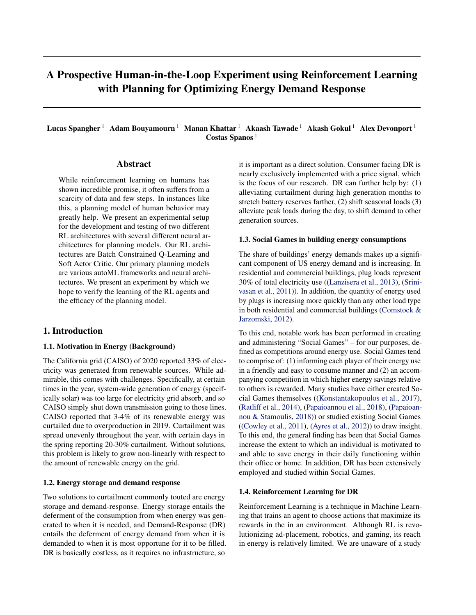# A Prospective Human-in-the-Loop Experiment using Reinforcement Learning with Planning for Optimizing Energy Demand Response

Lucas Spangher<sup>1</sup> Adam Bouyamourn<sup>1</sup> Manan Khattar<sup>1</sup> Akaash Tawade<sup>1</sup> Akash Gokul<sup>1</sup> Alex Devonport<sup>1</sup> Costas Spanos<sup>1</sup>

# Abstract

While reinforcement learning on humans has shown incredible promise, it often suffers from a scarcity of data and few steps. In instances like this, a planning model of human behavior may greatly help. We present an experimental setup for the development and testing of two different RL architectures with several different neural architectures for planning models. Our RL architectures are Batch Constrained Q-Learning and Soft Actor Critic. Our primary planning models are various autoML frameworks and neural architectures. We present an experiment by which we hope to verify the learning of the RL agents and the efficacy of the planning model.

### 1. Introduction

### 1.1. Motivation in Energy (Background)

The California grid (CAISO) of 2020 reported 33% of electricity was generated from renewable sources. While admirable, this comes with challenges. Specifically, at certain times in the year, system-wide generation of energy (specifically solar) was too large for electricity grid absorb, and so CAISO simply shut down transmission going to those lines. CAISO reported that 3-4% of its renewable energy was curtailed due to overproduction in 2019. Curtailment was spread unevenly throughout the year, with certain days in the spring reporting 20-30% curtailment. Without solutions, this problem is likely to grow non-linearly with respect to the amount of renewable energy on the grid.

### 1.2. Energy storage and demand response

Two solutions to curtailment commonly touted are energy storage and demand-response. Energy storage entails the deferment of the consumption from when energy was generated to when it is needed, and Demand-Response (DR) entails the deferment of energy demand from when it is demanded to when it is most opportune for it to be filled. DR is basically costless, as it requires no infrastructure, so

it is important as a direct solution. Consumer facing DR is nearly exclusively implemented with a price signal, which is the focus of our research. DR can further help by: (1) alleviating curtailment during high generation months to stretch battery reserves farther, (2) shift seasonal loads (3) alleviate peak loads during the day, to shift demand to other generation sources.

### 1.3. Social Games in building energy consumptions

The share of buildings' energy demands makes up a significant component of US energy demand and is increasing. In residential and commercial buildings, plug loads represent 30% of total electricity use ([\(Lanzisera et al.,](#page-7-0) [2013\)](#page-7-0), [\(Srini](#page-8-0)[vasan et al.,](#page-8-0) [2011\)](#page-8-0)). In addition, the quantity of energy used by plugs is increasing more quickly than any other load type in both residential and commercial buildings [\(Comstock &](#page-7-0) [Jarzomski,](#page-7-0) [2012\)](#page-7-0).

To this end, notable work has been performed in creating and administering "Social Games" – for our purposes, defined as competitions around energy use. Social Games tend to comprise of: (1) informing each player of their energy use in a friendly and easy to consume manner and (2) an accompanying competition in which higher energy savings relative to others is rewarded. Many studies have either created Social Games themselves ([\(Konstantakopoulos et al.,](#page-7-0) [2017\)](#page-7-0), [\(Ratliff et al.,](#page-8-0) [2014\)](#page-8-0), [\(Papaioannou et al.,](#page-8-0) [2018\)](#page-8-0), [\(Papaioan](#page-7-0)[nou & Stamoulis,](#page-7-0) [2018\)](#page-7-0)) or studied existing Social Games  $((Cowley et al., 2011), (Ayres et al., 2012))$  $((Cowley et al., 2011), (Ayres et al., 2012))$  $((Cowley et al., 2011), (Ayres et al., 2012))$  $((Cowley et al., 2011), (Ayres et al., 2012))$  $((Cowley et al., 2011), (Ayres et al., 2012))$  $((Cowley et al., 2011), (Ayres et al., 2012))$  $((Cowley et al., 2011), (Ayres et al., 2012))$  $((Cowley et al., 2011), (Ayres et al., 2012))$  $((Cowley et al., 2011), (Ayres et al., 2012))$  to draw insight. To this end, the general finding has been that Social Games increase the extent to which an individual is motivated to and able to save energy in their daily functioning within their office or home. In addition, DR has been extensively employed and studied within Social Games.

#### 1.4. Reinforcement Learning for DR

Reinforcement Learning is a technique in Machine Learning that trains an agent to choose actions that maximize its rewards in the in an environment. Although RL is revolutionizing ad-placement, robotics, and gaming, its reach in energy is relatively limited. We are unaware of a study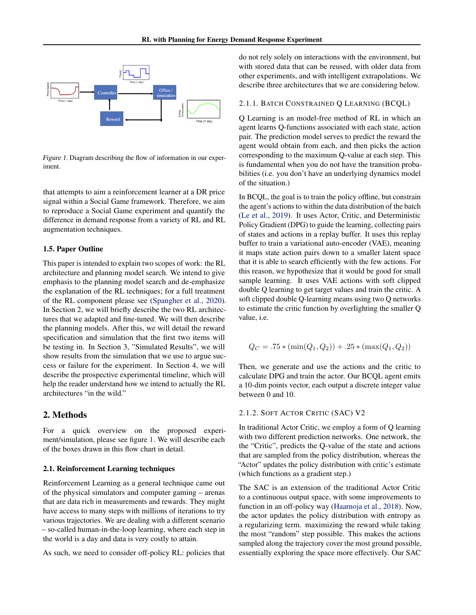

Figure 1. Diagram describing the flow of information in our experiment.

that attempts to aim a reinforcement learner at a DR price signal within a Social Game framework. Therefore, we aim to reproduce a Social Game experiment and quantify the difference in demand response from a variety of RL and RL augmentation techniques.

#### 1.5. Paper Outline

This paper is intended to explain two scopes of work: the RL architecture and planning model search. We intend to give emphasis to the planning model search and de-emphasize the explanation of the RL techniques; for a full treatment of the RL component please see [\(Spangher et al.,](#page-8-0) [2020\)](#page-8-0). In Section 2, we will briefly describe the two RL architectures that we adapted and fine-tuned. We will then describe the planning models. After this, we will detail the reward specification and simulation that the first two items will be testing in. In Section 3, "Simulated Results", we will show results from the simulation that we use to argue success or failure for the experiment. In Section 4, we will describe the prospective experimental timeline, which will help the reader understand how we intend to actually the RL architectures "in the wild."

# 2. Methods

For a quick overview on the proposed experiment/simulation, please see figure 1. We will describe each of the boxes drawn in this flow chart in detail.

### 2.1. Reinforcement Learning techniques

Reinforcement Learning as a general technique came out of the physical simulators and computer gaming – arenas that are data rich in measurements and rewards. They might have access to many steps with millions of iterations to try various trajectories. We are dealing with a different scenario – so-called human-in-the-loop learning, where each step in the world is a day and data is very costly to attain.

As such, we need to consider off-policy RL: policies that

do not rely solely on interactions with the environment, but with stored data that can be reused, with older data from other experiments, and with intelligent extrapolations. We describe three architectures that we are considering below.

### 2.1.1. BATCH CONSTRAINED Q LEARNING (BCQL)

Q Learning is an model-free method of RL in which an agent learns Q-functions associated with each state, action pair. The prediction model serves to predict the reward the agent would obtain from each, and then picks the action corresponding to the maximum Q-value at each step. This is fundamental when you do not have the transition probabilities (i.e. you don't have an underlying dynamics model of the situation.)

In BCQL, the goal is to train the policy offline, but constrain the agent's actions to within the data distribution of the batch [\(Le et al.,](#page-7-0) [2019\)](#page-7-0). It uses Actor, Critic, and Deterministic Policy Gradient (DPG) to guide the learning, collecting pairs of states and actions in a replay buffer. It uses this replay buffer to train a variational auto-encoder (VAE), meaning it maps state action pairs down to a smaller latent space that it is able to search efficiently with the few actions. For this reason, we hypothesize that it would be good for small sample learning. It uses VAE actions with soft clipped double Q learning to get target values and train the critic. A soft clipped double Q-learning means using two Q networks to estimate the critic function by overIighting the smaller Q value, i.e.

$$
Q_C = .75 * (min(Q_1, Q_2)) + .25 * (max(Q_1, Q_2))
$$

Then, we generate and use the actions and the critic to calculate DPG and train the actor. Our BCQL agent emits a 10-dim points vector, each output a discrete integer value between 0 and 10.

# 2.1.2. SOFT ACTOR CRITIC (SAC) V2

In traditional Actor Critic, we employ a form of Q learning with two different prediction networks. One network, the the "Critic", predicts the Q-value of the state and actions that are sampled from the policy distribution, whereas the "Actor" updates the policy distribution with critic's estimate (which functions as a gradient step.)

The SAC is an extension of the traditional Actor Critic to a continuous output space, with some improvements to function in an off-policy way [\(Haarnoja et al.,](#page-7-0) [2018\)](#page-7-0). Now, the actor updates the policy distribution with entropy as a regularizing term. maximizing the reward while taking the most "random" step possible. This makes the actions sampled along the trajectory cover the most ground possible, essentially exploring the space more effectively. Our SAC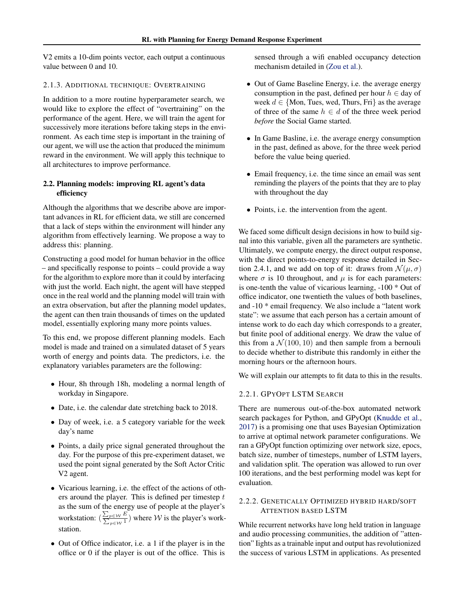V2 emits a 10-dim points vector, each output a continuous value between 0 and 10.

### 2.1.3. ADDITIONAL TECHNIQUE: OVERTRAINING

In addition to a more routine hyperparameter search, we would like to explore the effect of "overtraining" on the performance of the agent. Here, we will train the agent for successively more iterations before taking steps in the environment. As each time step is important in the training of our agent, we will use the action that produced the minimum reward in the environment. We will apply this technique to all architectures to improve performance.

# 2.2. Planning models: improving RL agent's data efficiency

Although the algorithms that we describe above are important advances in RL for efficient data, we still are concerned that a lack of steps within the environment will hinder any algorithm from effectively learning. We propose a way to address this: planning.

Constructing a good model for human behavior in the office – and specifically response to points – could provide a way for the algorithm to explore more than it could by interfacing with just the world. Each night, the agent will have stepped once in the real world and the planning model will train with an extra observation, but after the planning model updates, the agent can then train thousands of times on the updated model, essentially exploring many more points values.

To this end, we propose different planning models. Each model is made and trained on a simulated dataset of 5 years worth of energy and points data. The predictors, i.e. the explanatory variables parameters are the following:

- Hour, 8h through 18h, modeling a normal length of workday in Singapore.
- Date, i.e. the calendar date stretching back to 2018.
- Day of week, i.e. a 5 category variable for the week day's name
- Points, a daily price signal generated throughout the day. For the purpose of this pre-experiment dataset, we used the point signal generated by the Soft Actor Critic V2 agent.
- Vicarious learning, i.e. the effect of the actions of others around the player. This is defined per timestep  $t$ as the sum of the energy use of people at the player's workstation:  $\left(\frac{\sum_{p \in W} E}{\sum_{p \in W} 1}\right)$  where W is the player's workstation.
- Out of Office indicator, i.e. a 1 if the player is in the office or 0 if the player is out of the office. This is

sensed through a wifi enabled occupancy detection mechanism detailed in [\(Zou et al.\)](#page-8-0).

- Out of Game Baseline Energy, i.e. the average energy consumption in the past, defined per hour  $h \in$  day of week  $d \in \{$ Mon, Tues, wed, Thurs, Fri $\}$  as the average of three of the same  $h \in d$  of the three week period *before* the Social Game started.
- In Game Basline, i.e. the average energy consumption in the past, defined as above, for the three week period before the value being queried.
- Email frequency, i.e. the time since an email was sent reminding the players of the points that they are to play with throughout the day
- Points, i.e. the intervention from the agent.

We faced some difficult design decisions in how to build signal into this variable, given all the parameters are synthetic. Ultimately, we compute energy, the direct output response, with the direct points-to-energy response detailed in Section 2.4.1, and we add on top of it: draws from  $\mathcal{N}(\mu, \sigma)$ where  $\sigma$  is 10 throughout, and  $\mu$  is for each parameters: is one-tenth the value of vicarious learning, -100 \* Out of office indicator, one twentieth the values of both baselines, and -10 \* email frequency. We also include a "latent work state": we assume that each person has a certain amount of intense work to do each day which corresponds to a greater, but finite pool of additional energy. We draw the value of this from a  $\mathcal{N}(100, 10)$  and then sample from a bernouli to decide whether to distribute this randomly in either the morning hours or the afternoon hours.

We will explain our attempts to fit data to this in the results.

# 2.2.1. GPYOPT LSTM SEARCH

There are numerous out-of-the-box automated network search packages for Python, and GPyOpt [\(Knudde et al.,](#page-7-0) [2017\)](#page-7-0) is a promising one that uses Bayesian Optimization to arrive at optimal network parameter configurations. We ran a GPyOpt function optimizing over network size, epocs, batch size, number of timesteps, number of LSTM layers, and validation split. The operation was allowed to run over 100 iterations, and the best performing model was kept for evaluation.

# 2.2.2. GENETICALLY OPTIMIZED HYBRID HARD/SOFT ATTENTION BASED LSTM

While recurrent networks have long held tration in language and audio processing communities, the addition of "attention" Iights as a trainable input and output has revolutionized the success of various LSTM in applications. As presented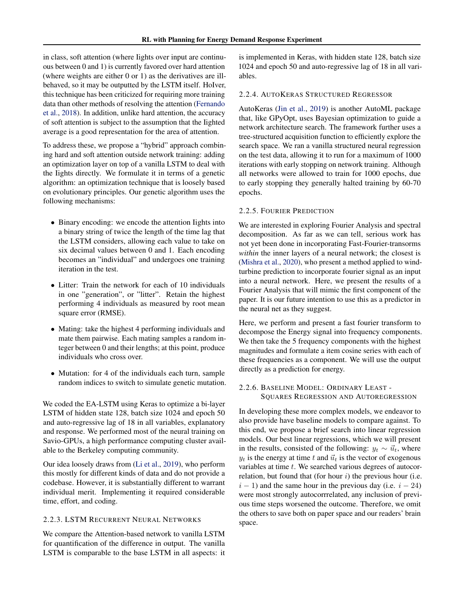in class, soft attention (where Iights over input are continuous between 0 and 1) is currently favored over hard attention (where weights are either 0 or 1) as the derivatives are illbehaved, so it may be outputted by the LSTM itself. HoIver, this technique has been criticized for requiring more training data than other methods of resolving the attention [\(Fernando](#page-7-0) [et al.,](#page-7-0) [2018\)](#page-7-0). In addition, unlike hard attention, the accuracy of soft attention is subject to the assumption that the Iighted average is a good representation for the area of attention.

To address these, we propose a "hybrid" approach combining hard and soft attention outside network training: adding an optimization layer on top of a vanilla LSTM to deal with the Iights directly. We formulate it in terms of a genetic algorithm: an optimization technique that is loosely based on evolutionary principles. Our genetic algorithm uses the following mechanisms:

- Binary encoding: we encode the attention lights into a binary string of twice the length of the time lag that the LSTM considers, allowing each value to take on six decimal values between 0 and 1. Each encoding becomes an "individual" and undergoes one training iteration in the test.
- Litter: Train the network for each of 10 individuals in one "generation", or "litter". Retain the highest performing 4 individuals as measured by root mean square error (RMSE).
- Mating: take the highest 4 performing individuals and mate them pairwise. Each mating samples a random integer between 0 and their lengths; at this point, produce individuals who cross over.
- Mutation: for 4 of the individuals each turn, sample random indices to switch to simulate genetic mutation.

We coded the EA-LSTM using Keras to optimize a bi-layer LSTM of hidden state 128, batch size 1024 and epoch 50 and auto-regressive lag of 18 in all variables, explanatory and response. We performed most of the neural training on Savio-GPUs, a high performance computing cluster available to the Berkeley computing community.

Our idea loosely draws from [\(Li et al.,](#page-7-0) [2019\)](#page-7-0), who perform this mostly for different kinds of data and do not provide a codebase. However, it is substantially different to warrant individual merit. Implementing it required considerable time, effort, and coding.

# 2.2.3. LSTM RECURRENT NEURAL NETWORKS

We compare the Attention-based network to vanilla LSTM for quantification of the difference in output. The vanilla LSTM is comparable to the base LSTM in all aspects: it is implemented in Keras, with hidden state 128, batch size 1024 and epoch 50 and auto-regressive lag of 18 in all variables.

### 2.2.4. AUTOKERAS STRUCTURED REGRESSOR

AutoKeras [\(Jin et al.,](#page-7-0) [2019\)](#page-7-0) is another AutoML package that, like GPyOpt, uses Bayesian optimization to guide a network architecture search. The framework further uses a tree-structured acquisition function to efficiently explore the search space. We ran a vanilla structured neural regression on the test data, allowing it to run for a maximum of 1000 iterations with early stopping on network training. Although all networks were allowed to train for 1000 epochs, due to early stopping they generally halted training by 60-70 epochs.

# 2.2.5. FOURIER PREDICTION

We are interested in exploring Fourier Analysis and spectral decomposition. As far as we can tell, serious work has not yet been done in incorporating Fast-Fourier-transorms *within* the inner layers of a neural network; the closest is [\(Mishra et al.,](#page-7-0) [2020\)](#page-7-0), who present a method applied to windturbine prediction to incorporate fourier signal as an input into a neural network. Here, we present the results of a Fourier Analysis that will mimic the first component of the paper. It is our future intention to use this as a predictor in the neural net as they suggest.

Here, we perform and present a fast fourier transform to decompose the Energy signal into frequency components. We then take the 5 frequency components with the highest magnitudes and formulate a item cosine series with each of these frequencies as a component. We will use the output directly as a prediction for energy.

# 2.2.6. BASELINE MODEL: ORDINARY LEAST - SQUARES REGRESSION AND AUTOREGRESSION

In developing these more complex models, we endeavor to also provide have baseline models to compare against. To this end, we propose a brief search into linear regression models. Our best linear regressions, which we will present in the results, consisted of the following:  $y_t \sim \vec{u}_t$ , where  $y_t$  is the energy at time t and  $\vec{u}_t$  is the vector of exogenous variables at time t. We searched various degrees of autocorrelation, but found that (for hour  $i$ ) the previous hour (i.e.  $i - 1$ ) and the same hour in the previous day (i.e.  $i - 24$ ) were most strongly autocorrrelated, any inclusion of previous time steps worsened the outcome. Therefore, we omit the others to save both on paper space and our readers' brain space.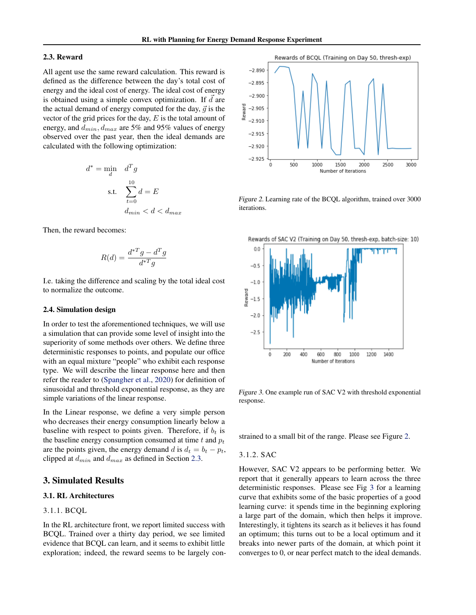#### 2.3. Reward

All agent use the same reward calculation. This reward is defined as the difference between the day's total cost of energy and the ideal cost of energy. The ideal cost of energy is obtained using a simple convex optimization. If  $\overrightarrow{d}$  are the actual demand of energy computed for the day,  $\vec{q}$  is the vector of the grid prices for the day,  $E$  is the total amount of energy, and  $d_{min}$ ,  $d_{max}$  are 5% and 95% values of energy observed over the past year, then the ideal demands are calculated with the following optimization:

$$
d^* = \min_{d} \quad d^T g
$$
  
s.t. 
$$
\sum_{t=0}^{10} d = E
$$

$$
d_{min} < d < d_{max}
$$

Then, the reward becomes:

$$
R(d) = \frac{d^{*T}g - d^Tg}{d^{*T}g}
$$

I.e. taking the difference and scaling by the total ideal cost to normalize the outcome.

#### 2.4. Simulation design

In order to test the aforementioned techniques, we will use a simulation that can provide some level of insight into the superiority of some methods over others. We define three deterministic responses to points, and populate our office with an equal mixture "people" who exhibit each response type. We will describe the linear response here and then refer the reader to [\(Spangher et al.,](#page-8-0) [2020\)](#page-8-0) for definition of sinusoidal and threshold exponential response, as they are simple variations of the linear response.

In the Linear response, we define a very simple person who decreases their energy consumption linearly below a baseline with respect to points given. Therefore, if  $b_t$  is the baseline energy consumption consumed at time  $t$  and  $p_t$ are the points given, the energy demand d is  $d_t = b_t - p_t$ , clipped at  $d_{min}$  and  $d_{max}$  as defined in Section 2.3.

# 3. Simulated Results

### 3.1. RL Architectures

### 3.1.1. BCQL

In the RL architecture front, we report limited success with BCQL. Trained over a thirty day period, we see limited evidence that BCQL can learn, and it seems to exhibit little exploration; indeed, the reward seems to be largely con-



Figure 2. Learning rate of the BCQL algorithm, trained over 3000 iterations.





Figure 3. One example run of SAC V2 with threshold exponential response.

strained to a small bit of the range. Please see Figure 2.

#### 3.1.2. SAC

However, SAC V2 appears to be performing better. We report that it generally appears to learn across the three deterministic responses. Please see Fig 3 for a learning curve that exhibits some of the basic properties of a good learning curve: it spends time in the beginning exploring a large part of the domain, which then helps it improve. Interestingly, it tightens its search as it believes it has found an optimum; this turns out to be a local optimum and it breaks into newer parts of the domain, at which point it converges to 0, or near perfect match to the ideal demands.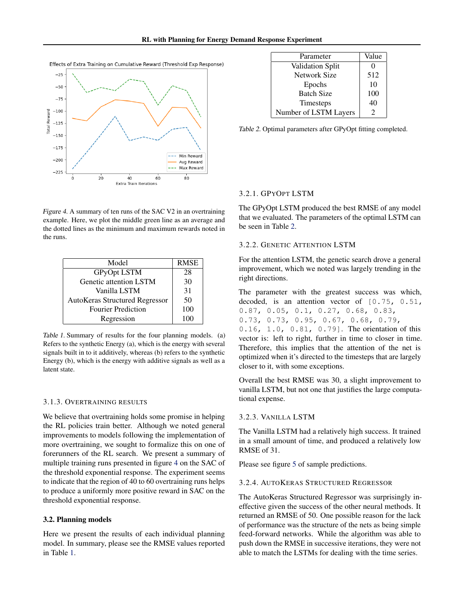



Figure 4. A summary of ten runs of the SAC V2 in an overtraining example. Here, we plot the middle green line as an average and the dotted lines as the minimum and maximum rewards noted in the runs.

| Model                                 | <b>RMSE</b> |
|---------------------------------------|-------------|
| <b>GPyOpt LSTM</b>                    | 28          |
| Genetic attention LSTM                | 30          |
| Vanilla LSTM                          | 31          |
| <b>AutoKeras Structured Regressor</b> | 50          |
| <b>Fourier Prediction</b>             | 100         |
| Regression                            | 100         |

Table 1. Summary of results for the four planning models. (a) Refers to the synthetic Energy (a), which is the energy with several signals built in to it additively, whereas (b) refers to the synthetic Energy (b), which is the energy with additive signals as well as a latent state.

### 3.1.3. OVERTRAINING RESULTS

We believe that overtraining holds some promise in helping the RL policies train better. Although we noted general improvements to models following the implementation of more overtraining, we sought to formalize this on one of forerunners of the RL search. We present a summary of multiple training runs presented in figure 4 on the SAC of the threshold exponential response. The experiment seems to indicate that the region of 40 to 60 overtraining runs helps to produce a uniformly more positive reward in SAC on the threshold exponential response.

### 3.2. Planning models

Here we present the results of each individual planning model. In summary, please see the RMSE values reported in Table 1.

| Parameter               | Value |
|-------------------------|-------|
| <b>Validation Split</b> |       |
| Network Size            | 512   |
| Epochs                  | 10    |
| <b>Batch Size</b>       | 100   |
| Timesteps               | 40    |
| Number of LSTM Layers   | 7     |

Table 2. Optimal parameters after GPyOpt fitting completed.

#### 3.2.1. GPYOPT LSTM

The GPyOpt LSTM produced the best RMSE of any model that we evaluated. The parameters of the optimal LSTM can be seen in Table 2.

### 3.2.2. GENETIC ATTENTION LSTM

For the attention LSTM, the genetic search drove a general improvement, which we noted was largely trending in the right directions.

The parameter with the greatest success was which, decoded, is an attention vector of [0.75, 0.51, 0.87, 0.05, 0.1, 0.27, 0.68, 0.83, 0.73, 0.73, 0.95, 0.67, 0.68, 0.79, 0.16, 1.0, 0.81, 0.79]. The orientation of this

vector is: left to right, further in time to closer in time. Therefore, this implies that the attention of the net is optimized when it's directed to the timesteps that are largely closer to it, with some exceptions.

Overall the best RMSE was 30, a slight improvement to vanilla LSTM, but not one that justifies the large computational expense.

#### 3.2.3. VANILLA LSTM

The Vanilla LSTM had a relatively high success. It trained in a small amount of time, and produced a relatively low RMSE of 31.

Please see figure [5](#page-6-0) of sample predictions.

# 3.2.4. AUTOKERAS STRUCTURED REGRESSOR

The AutoKeras Structured Regressor was surprisingly ineffective given the success of the other neural methods. It returned an RMSE of 50. One possible reason for the lack of performance was the structure of the nets as being simple feed-forward networks. While the algorithm was able to push down the RMSE in successive iterations, they were not able to match the LSTMs for dealing with the time series.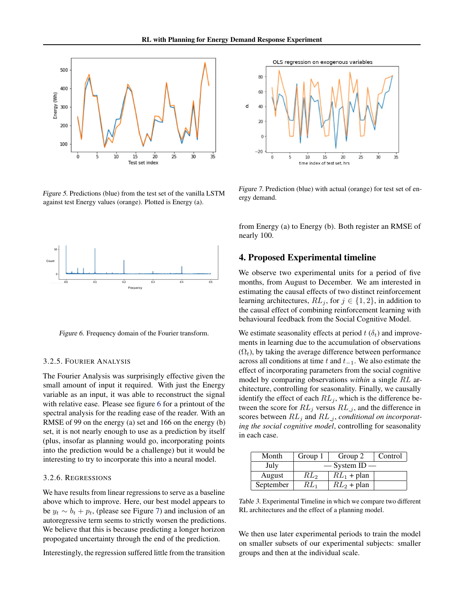<span id="page-6-0"></span>

Figure 5. Predictions (blue) from the test set of the vanilla LSTM against test Energy values (orange). Plotted is Energy (a).



Figure 6. Frequency domain of the Fourier transform.

### 3.2.5. FOURIER ANALYSIS

The Fourier Analysis was surprisingly effective given the small amount of input it required. With just the Energy variable as an input, it was able to reconstruct the signal with relative ease. Please see figure 6 for a printout of the spectral analysis for the reading ease of the reader. With an RMSE of 99 on the energy (a) set and 166 on the energy (b) set, it is not nearly enough to use as a prediction by itself (plus, insofar as planning would go, incorporating points into the prediction would be a challenge) but it would be interesting to try to incorporate this into a neural model.

### 3.2.6. REGRESSIONS

We have results from linear regressions to serve as a baseline above which to improve. Here, our best model appears to be  $y_t \sim b_t + p_t$ , (please see Figure 7) and inclusion of an autoregressive term seems to strictly worsen the predictions. We believe that this is because predicting a longer horizon propogated uncertainty through the end of the prediction.

Interestingly, the regression suffered little from the transition



Figure 7. Prediction (blue) with actual (orange) for test set of energy demand.

from Energy (a) to Energy (b). Both register an RMSE of nearly 100.

# 4. Proposed Experimental timeline

We observe two experimental units for a period of five months, from August to December. We am interested in estimating the causal effects of two distinct reinforcement learning architectures,  $RL_j$ , for  $j \in \{1, 2\}$ , in addition to the causal effect of combining reinforcement learning with behavioural feedback from the Social Cognitive Model.

We estimate seasonality effects at period  $t(\delta_t)$  and improvements in learning due to the accumulation of observations  $(\Omega_t)$ , by taking the average difference between performance across all conditions at time t and  $t_{-1}$ . We also estimate the effect of incorporating parameters from the social cognitive model by comparing observations *within* a single RL architecture, controlling for seasonality. Finally, we causally identify the effect of each  $RL_j$ , which is the difference between the score for  $RL_j$  versus  $RL_j$ , and the difference in scores between  $RL_j$  and  $RL_j$ , *conditional on incorporating the social cognitive model*, controlling for seasonality in each case.

| Month     | Group 1     | Group 2       | Control |
|-----------|-------------|---------------|---------|
| July      | — System ID |               |         |
| August    | $RL_2$      | $RL_1$ + plan |         |
| September | $RL_1$      | $RL_2$ + plan |         |

Table 3. Experimental Timeline in which we compare two different RL architectures and the effect of a planning model.

We then use later experimental periods to train the model on smaller subsets of our experimental subjects: smaller groups and then at the individual scale.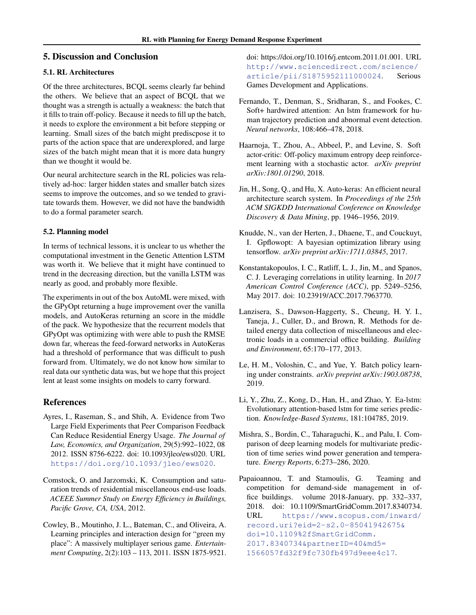# <span id="page-7-0"></span>5. Discussion and Conclusion

# 5.1. RL Architectures

Of the three architectures, BCQL seems clearly far behind the others. We believe that an aspect of BCQL that we thought was a strength is actually a weakness: the batch that it fills to train off-policy. Because it needs to fill up the batch, it needs to explore the environment a bit before stepping or learning. Small sizes of the batch might prediscpose it to parts of the action space that are underexplored, and large sizes of the batch might mean that it is more data hungry than we thought it would be.

Our neural architecture search in the RL policies was relatively ad-hoc: larger hidden states and smaller batch sizes seems to improve the outcomes, and so we tended to gravitate towards them. However, we did not have the bandwidth to do a formal parameter search.

### 5.2. Planning model

In terms of technical lessons, it is unclear to us whether the computational investment in the Genetic Attention LSTM was worth it. We believe that it might have continued to trend in the decreasing direction, but the vanilla LSTM was nearly as good, and probably more flexible.

The experiments in out of the box AutoML were mixed, with the GPyOpt returning a huge improvement over the vanilla models, and AutoKeras returning an score in the middle of the pack. We hypothesize that the recurrent models that GPyOpt was optimizing with were able to push the RMSE down far, whereas the feed-forward networks in AutoKeras had a threshold of performance that was difficult to push forward from. Ultimately, we do not know how similar to real data our synthetic data was, but we hope that this project lent at least some insights on models to carry forward.

# References

- Ayres, I., Raseman, S., and Shih, A. Evidence from Two Large Field Experiments that Peer Comparison Feedback Can Reduce Residential Energy Usage. *The Journal of Law, Economics, and Organization*, 29(5):992–1022, 08 2012. ISSN 8756-6222. doi: 10.1093/jleo/ews020. URL <https://doi.org/10.1093/jleo/ews020>.
- Comstock, O. and Jarzomski, K. Consumption and saturation trends of residential miscellaneous end-use loads. *ACEEE Summer Study on Energy Efficiency in Buildings, Pacific Grove, CA, USA*, 2012.
- Cowley, B., Moutinho, J. L., Bateman, C., and Oliveira, A. Learning principles and interaction design for "green my place": A massively multiplayer serious game. *Entertainment Computing*, 2(2):103 – 113, 2011. ISSN 1875-9521.

doi: https://doi.org/10.1016/j.entcom.2011.01.001. URL [http://www.sciencedirect.com/science/](http://www.sciencedirect.com/science/article/pii/S1875952111000024) [article/pii/S1875952111000024](http://www.sciencedirect.com/science/article/pii/S1875952111000024). Serious Games Development and Applications.

- Fernando, T., Denman, S., Sridharan, S., and Fookes, C. Soft+ hardwired attention: An lstm framework for human trajectory prediction and abnormal event detection. *Neural networks*, 108:466–478, 2018.
- Haarnoja, T., Zhou, A., Abbeel, P., and Levine, S. Soft actor-critic: Off-policy maximum entropy deep reinforcement learning with a stochastic actor. *arXiv preprint arXiv:1801.01290*, 2018.
- Jin, H., Song, Q., and Hu, X. Auto-keras: An efficient neural architecture search system. In *Proceedings of the 25th ACM SIGKDD International Conference on Knowledge Discovery & Data Mining*, pp. 1946–1956, 2019.
- Knudde, N., van der Herten, J., Dhaene, T., and Couckuyt, I. Gpflowopt: A bayesian optimization library using tensorflow. *arXiv preprint arXiv:1711.03845*, 2017.
- Konstantakopoulos, I. C., Ratliff, L. J., Jin, M., and Spanos, C. J. Leveraging correlations in utility learning. In *2017 American Control Conference (ACC)*, pp. 5249–5256, May 2017. doi: 10.23919/ACC.2017.7963770.
- Lanzisera, S., Dawson-Haggerty, S., Cheung, H. Y. I., Taneja, J., Culler, D., and Brown, R. Methods for detailed energy data collection of miscellaneous and electronic loads in a commercial office building. *Building and Environment*, 65:170–177, 2013.
- Le, H. M., Voloshin, C., and Yue, Y. Batch policy learning under constraints. *arXiv preprint arXiv:1903.08738*, 2019.
- Li, Y., Zhu, Z., Kong, D., Han, H., and Zhao, Y. Ea-lstm: Evolutionary attention-based lstm for time series prediction. *Knowledge-Based Systems*, 181:104785, 2019.
- Mishra, S., Bordin, C., Taharaguchi, K., and Palu, I. Comparison of deep learning models for multivariate prediction of time series wind power generation and temperature. *Energy Reports*, 6:273–286, 2020.
- Papaioannou, T. and Stamoulis, G. Teaming and competition for demand-side management in office buildings. volume 2018-January, pp. 332–337, 2018. doi: 10.1109/SmartGridComm.2017.8340734. URL [https://www.scopus.com/inward/](https://www.scopus.com/inward/record.uri?eid=2-s2.0-85041942675&doi=10.1109%2fSmartGridComm.2017.8340734&partnerID=40&md5=1566057fd32f9fc730fb497d9eee4c17) [record.uri?eid=2-s2.0-85041942675&](https://www.scopus.com/inward/record.uri?eid=2-s2.0-85041942675&doi=10.1109%2fSmartGridComm.2017.8340734&partnerID=40&md5=1566057fd32f9fc730fb497d9eee4c17) [doi=10.1109%2fSmartGridComm.](https://www.scopus.com/inward/record.uri?eid=2-s2.0-85041942675&doi=10.1109%2fSmartGridComm.2017.8340734&partnerID=40&md5=1566057fd32f9fc730fb497d9eee4c17) [2017.8340734&partnerID=40&md5=](https://www.scopus.com/inward/record.uri?eid=2-s2.0-85041942675&doi=10.1109%2fSmartGridComm.2017.8340734&partnerID=40&md5=1566057fd32f9fc730fb497d9eee4c17) [1566057fd32f9fc730fb497d9eee4c17](https://www.scopus.com/inward/record.uri?eid=2-s2.0-85041942675&doi=10.1109%2fSmartGridComm.2017.8340734&partnerID=40&md5=1566057fd32f9fc730fb497d9eee4c17).